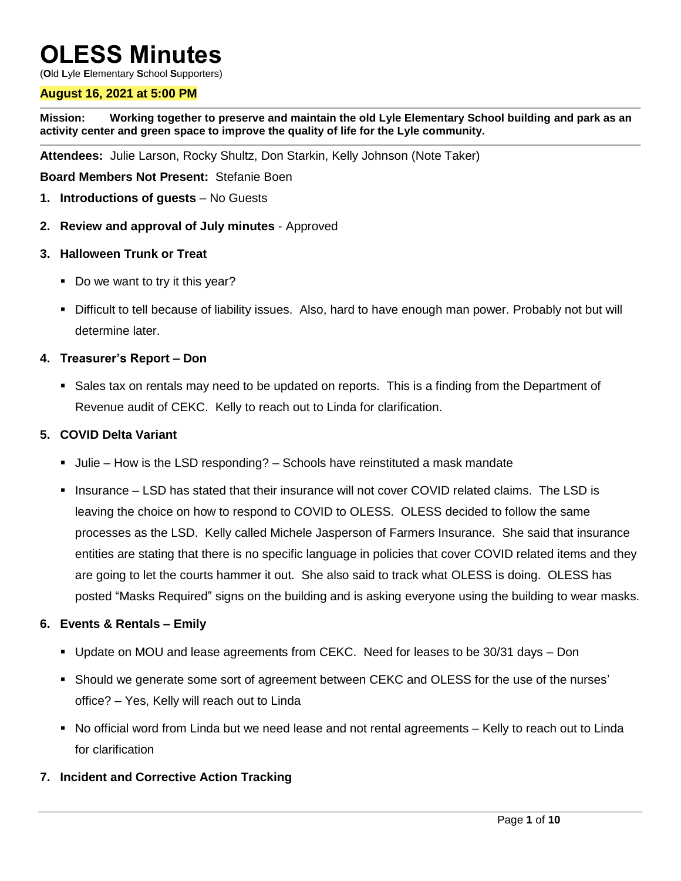# **OLESS Minutes**

(**O**ld **L**yle **E**lementary **S**chool **S**upporters)

#### **August 16, 2021 at 5:00 PM**

**Mission: Working together to preserve and maintain the old Lyle Elementary School building and park as an activity center and green space to improve the quality of life for the Lyle community.**

**Attendees:** Julie Larson, Rocky Shultz, Don Starkin, Kelly Johnson (Note Taker)

**Board Members Not Present:** Stefanie Boen

- **1. Introductions of guests** No Guests
- **2. Review and approval of July minutes** Approved
- **3. Halloween Trunk or Treat**
	- Do we want to try it this year?
	- Difficult to tell because of liability issues. Also, hard to have enough man power. Probably not but will determine later.

#### **4. Treasurer's Report – Don**

Sales tax on rentals may need to be updated on reports. This is a finding from the Department of Revenue audit of CEKC. Kelly to reach out to Linda for clarification.

#### **5. COVID Delta Variant**

- Julie How is the LSD responding? Schools have reinstituted a mask mandate
- Insurance LSD has stated that their insurance will not cover COVID related claims. The LSD is leaving the choice on how to respond to COVID to OLESS. OLESS decided to follow the same processes as the LSD. Kelly called Michele Jasperson of Farmers Insurance. She said that insurance entities are stating that there is no specific language in policies that cover COVID related items and they are going to let the courts hammer it out. She also said to track what OLESS is doing. OLESS has posted "Masks Required" signs on the building and is asking everyone using the building to wear masks.

#### **6. Events & Rentals – Emily**

- Update on MOU and lease agreements from CEKC. Need for leases to be 30/31 days Don
- Should we generate some sort of agreement between CEKC and OLESS for the use of the nurses' office? – Yes, Kelly will reach out to Linda
- No official word from Linda but we need lease and not rental agreements Kelly to reach out to Linda for clarification

#### **7. Incident and Corrective Action Tracking**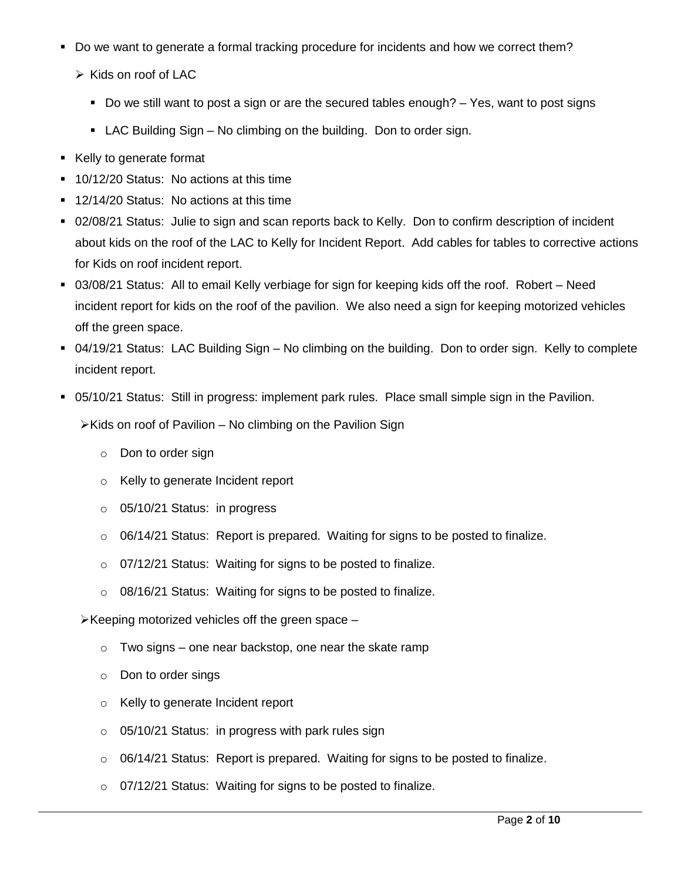- Do we want to generate a formal tracking procedure for incidents and how we correct them?
	- $\triangleright$  Kids on roof of LAC
		- Do we still want to post a sign or are the secured tables enough?  $-$  Yes, want to post signs
		- LAC Building Sign No climbing on the building. Don to order sign.
- Kelly to generate format
- 10/12/20 Status: No actions at this time
- 12/14/20 Status: No actions at this time
- 02/08/21 Status: Julie to sign and scan reports back to Kelly. Don to confirm description of incident about kids on the roof of the LAC to Kelly for Incident Report. Add cables for tables to corrective actions for Kids on roof incident report.
- 03/08/21 Status: All to email Kelly verbiage for sign for keeping kids off the roof. Robert Need incident report for kids on the roof of the pavilion. We also need a sign for keeping motorized vehicles off the green space.
- 04/19/21 Status: LAC Building Sign No climbing on the building. Don to order sign. Kelly to complete incident report.
- 05/10/21 Status: Still in progress: implement park rules. Place small simple sign in the Pavilion.
	- $\triangleright$ Kids on roof of Pavilion No climbing on the Pavilion Sign
		- o Don to order sign
		- o Kelly to generate Incident report
		- o 05/10/21 Status: in progress
		- $\circ$  06/14/21 Status: Report is prepared. Waiting for signs to be posted to finalize.
		- o 07/12/21 Status: Waiting for signs to be posted to finalize.
		- o 08/16/21 Status: Waiting for signs to be posted to finalize.

 $\triangleright$  Keeping motorized vehicles off the green space –

- $\circ$  Two signs one near backstop, one near the skate ramp
- o Don to order sings
- o Kelly to generate Incident report
- o 05/10/21 Status: in progress with park rules sign
- o 06/14/21 Status: Report is prepared. Waiting for signs to be posted to finalize.
- o 07/12/21 Status: Waiting for signs to be posted to finalize.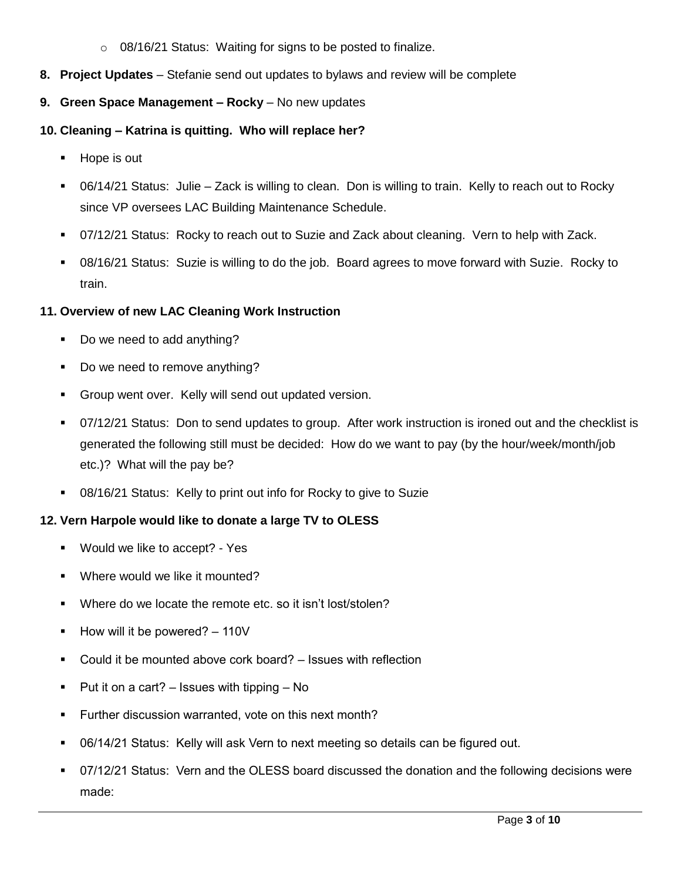- o 08/16/21 Status: Waiting for signs to be posted to finalize.
- **8. Project Updates** Stefanie send out updates to bylaws and review will be complete
- **9. Green Space Management – Rocky** No new updates
- **10. Cleaning – Katrina is quitting. Who will replace her?** 
	- **Hope is out**
	- 06/14/21 Status: Julie Zack is willing to clean. Don is willing to train. Kelly to reach out to Rocky since VP oversees LAC Building Maintenance Schedule.
	- 07/12/21 Status: Rocky to reach out to Suzie and Zack about cleaning. Vern to help with Zack.
	- 08/16/21 Status: Suzie is willing to do the job. Board agrees to move forward with Suzie. Rocky to train.

#### **11. Overview of new LAC Cleaning Work Instruction**

- Do we need to add anything?
- Do we need to remove anything?
- **Group went over. Kelly will send out updated version.**
- 07/12/21 Status: Don to send updates to group. After work instruction is ironed out and the checklist is generated the following still must be decided: How do we want to pay (by the hour/week/month/job etc.)? What will the pay be?
- 08/16/21 Status: Kelly to print out info for Rocky to give to Suzie

#### **12. Vern Harpole would like to donate a large TV to OLESS**

- **Would we like to accept? Yes**
- **Where would we like it mounted?**
- Where do we locate the remote etc. so it isn't lost/stolen?
- How will it be powered? 110V
- Could it be mounted above cork board? Issues with reflection
- Put it on a cart? Issues with tipping No
- **Further discussion warranted, vote on this next month?**
- 06/14/21 Status: Kelly will ask Vern to next meeting so details can be figured out.
- 07/12/21 Status: Vern and the OLESS board discussed the donation and the following decisions were made: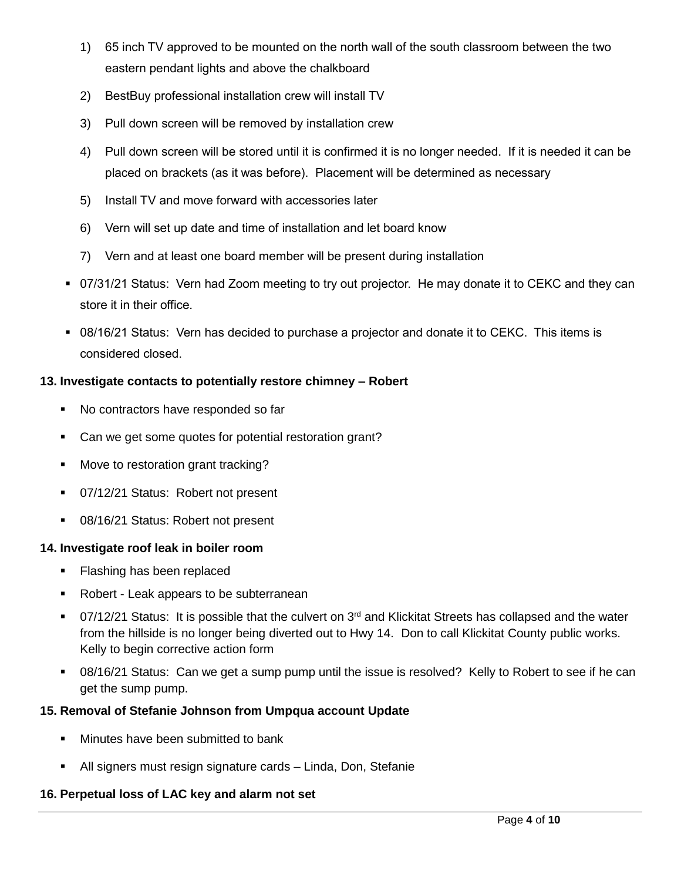- 1) 65 inch TV approved to be mounted on the north wall of the south classroom between the two eastern pendant lights and above the chalkboard
- 2) BestBuy professional installation crew will install TV
- 3) Pull down screen will be removed by installation crew
- 4) Pull down screen will be stored until it is confirmed it is no longer needed. If it is needed it can be placed on brackets (as it was before). Placement will be determined as necessary
- 5) Install TV and move forward with accessories later
- 6) Vern will set up date and time of installation and let board know
- 7) Vern and at least one board member will be present during installation
- 07/31/21 Status: Vern had Zoom meeting to try out projector. He may donate it to CEKC and they can store it in their office.
- 08/16/21 Status: Vern has decided to purchase a projector and donate it to CEKC. This items is considered closed.

# **13. Investigate contacts to potentially restore chimney – Robert**

- No contractors have responded so far
- Can we get some quotes for potential restoration grant?
- Move to restoration grant tracking?
- **07/12/21 Status: Robert not present**
- 08/16/21 Status: Robert not present

# **14. Investigate roof leak in boiler room**

- **Flashing has been replaced**
- Robert Leak appears to be subterranean
- 07/12/21 Status: It is possible that the culvert on 3<sup>rd</sup> and Klickitat Streets has collapsed and the water from the hillside is no longer being diverted out to Hwy 14. Don to call Klickitat County public works. Kelly to begin corrective action form
- 08/16/21 Status: Can we get a sump pump until the issue is resolved? Kelly to Robert to see if he can get the sump pump.

# **15. Removal of Stefanie Johnson from Umpqua account Update**

- **Minutes have been submitted to bank**
- All signers must resign signature cards Linda, Don, Stefanie

# **16. Perpetual loss of LAC key and alarm not set**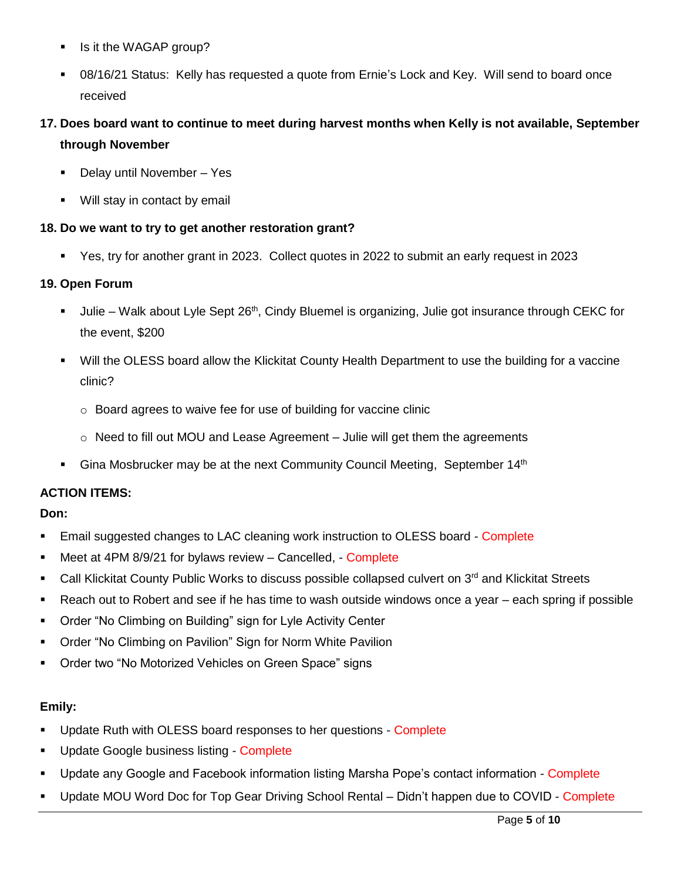- Is it the WAGAP group?
- 08/16/21 Status: Kelly has requested a quote from Ernie's Lock and Key. Will send to board once received
- **17. Does board want to continue to meet during harvest months when Kelly is not available, September through November**
	- Delay until November Yes
	- **Will stay in contact by email**

# **18. Do we want to try to get another restoration grant?**

Yes, try for another grant in 2023. Collect quotes in 2022 to submit an early request in 2023

# **19. Open Forum**

- Julie Walk about Lyle Sept 26<sup>th</sup>, Cindy Bluemel is organizing, Julie got insurance through CEKC for the event, \$200
- Will the OLESS board allow the Klickitat County Health Department to use the building for a vaccine clinic?
	- o Board agrees to waive fee for use of building for vaccine clinic
	- $\circ$  Need to fill out MOU and Lease Agreement Julie will get them the agreements
- Gina Mosbrucker may be at the next Community Council Meeting, September 14<sup>th</sup>

# **ACTION ITEMS:**

# **Don:**

- **Email suggested changes to LAC cleaning work instruction to OLESS board Complete**
- Meet at 4PM 8/9/21 for bylaws review Cancelled, Complete
- Call Klickitat County Public Works to discuss possible collapsed culvert on 3<sup>rd</sup> and Klickitat Streets
- Reach out to Robert and see if he has time to wash outside windows once a year each spring if possible
- Order "No Climbing on Building" sign for Lyle Activity Center
- Order "No Climbing on Pavilion" Sign for Norm White Pavilion
- **Order two "No Motorized Vehicles on Green Space" signs**

# **Emily:**

- Update Ruth with OLESS board responses to her questions Complete
- **Update Google business listing Complete**
- Update any Google and Facebook information listing Marsha Pope's contact information Complete
- Update MOU Word Doc for Top Gear Driving School Rental Didn't happen due to COVID Complete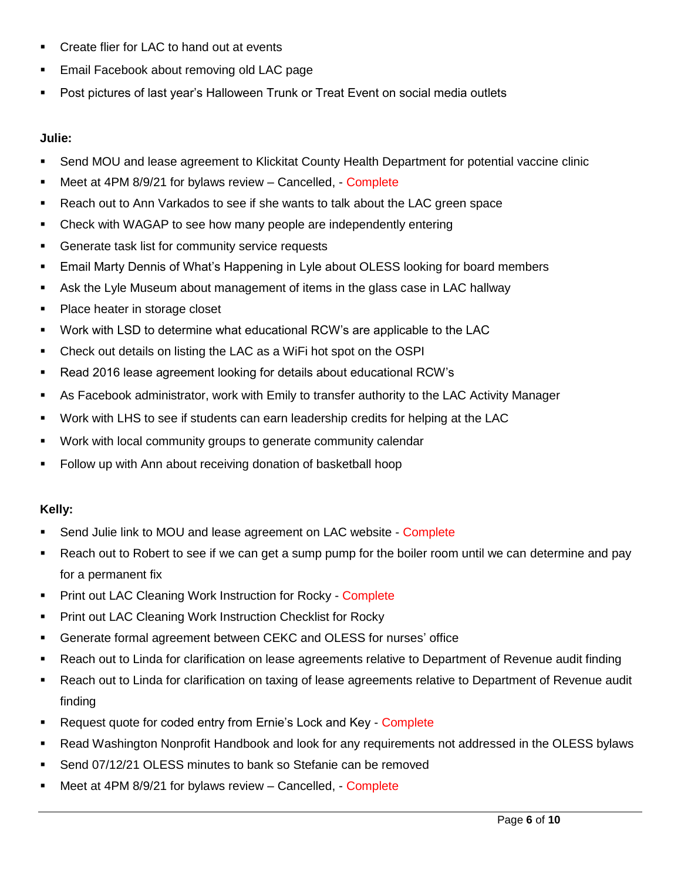- Create flier for LAC to hand out at events
- **Email Facebook about removing old LAC page**
- Post pictures of last year's Halloween Trunk or Treat Event on social media outlets

#### **Julie:**

- Send MOU and lease agreement to Klickitat County Health Department for potential vaccine clinic
- Meet at 4PM 8/9/21 for bylaws review Cancelled, Complete
- Reach out to Ann Varkados to see if she wants to talk about the LAC green space
- Check with WAGAP to see how many people are independently entering
- **Generate task list for community service requests**
- Email Marty Dennis of What's Happening in Lyle about OLESS looking for board members
- Ask the Lyle Museum about management of items in the glass case in LAC hallway
- Place heater in storage closet
- Work with LSD to determine what educational RCW's are applicable to the LAC
- Check out details on listing the LAC as a WiFi hot spot on the OSPI
- Read 2016 lease agreement looking for details about educational RCW's
- As Facebook administrator, work with Emily to transfer authority to the LAC Activity Manager
- Work with LHS to see if students can earn leadership credits for helping at the LAC
- Work with local community groups to generate community calendar
- Follow up with Ann about receiving donation of basketball hoop

# **Kelly:**

- Send Julie link to MOU and lease agreement on LAC website Complete
- Reach out to Robert to see if we can get a sump pump for the boiler room until we can determine and pay for a permanent fix
- **Print out LAC Cleaning Work Instruction for Rocky Complete**
- **Print out LAC Cleaning Work Instruction Checklist for Rocky**
- Generate formal agreement between CEKC and OLESS for nurses' office
- Reach out to Linda for clarification on lease agreements relative to Department of Revenue audit finding
- Reach out to Linda for clarification on taxing of lease agreements relative to Department of Revenue audit finding
- **Request quote for coded entry from Ernie's Lock and Key Complete**
- Read Washington Nonprofit Handbook and look for any requirements not addressed in the OLESS bylaws
- Send 07/12/21 OLESS minutes to bank so Stefanie can be removed
- Meet at 4PM 8/9/21 for bylaws review Cancelled, Complete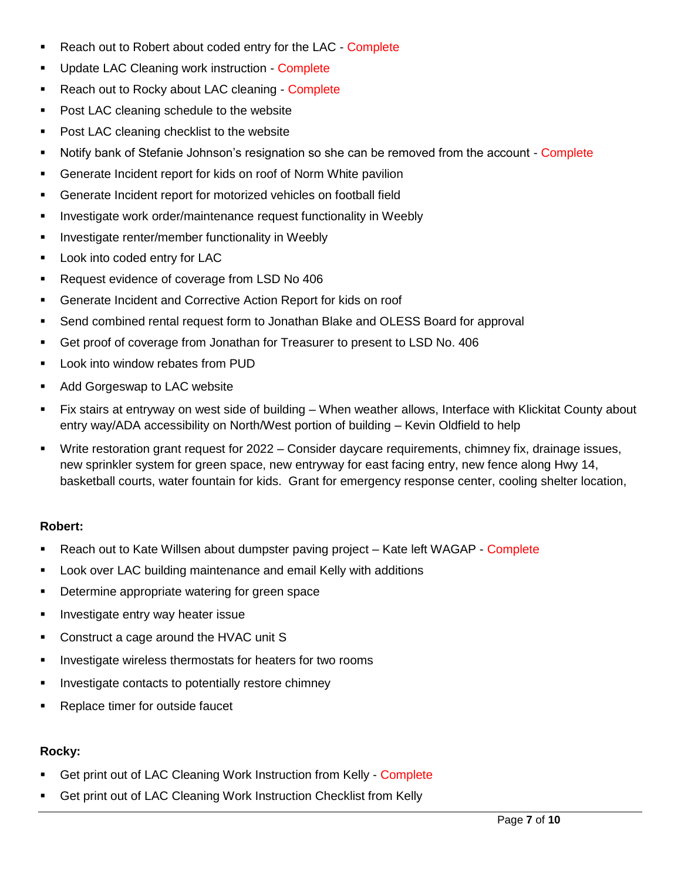- Reach out to Robert about coded entry for the LAC Complete
- Update LAC Cleaning work instruction Complete
- Reach out to Rocky about LAC cleaning Complete
- **Post LAC cleaning schedule to the website**
- Post LAC cleaning checklist to the website
- **Notify bank of Stefanie Johnson's resignation so she can be removed from the account Complete**
- Generate Incident report for kids on roof of Norm White pavilion
- Generate Incident report for motorized vehicles on football field
- **Investigate work order/maintenance request functionality in Weebly**
- **Investigate renter/member functionality in Weebly**
- **Look into coded entry for LAC**
- **Request evidence of coverage from LSD No 406**
- Generate Incident and Corrective Action Report for kids on roof
- Send combined rental request form to Jonathan Blake and OLESS Board for approval
- Get proof of coverage from Jonathan for Treasurer to present to LSD No. 406
- **Look into window rebates from PUD**
- **Add Gorgeswap to LAC website**
- Fix stairs at entryway on west side of building When weather allows, Interface with Klickitat County about entry way/ADA accessibility on North/West portion of building – Kevin Oldfield to help
- Write restoration grant request for 2022 Consider daycare requirements, chimney fix, drainage issues, new sprinkler system for green space, new entryway for east facing entry, new fence along Hwy 14, basketball courts, water fountain for kids. Grant for emergency response center, cooling shelter location,

# **Robert:**

- Reach out to Kate Willsen about dumpster paving project Kate left WAGAP Complete
- Look over LAC building maintenance and email Kelly with additions
- **•** Determine appropriate watering for green space
- **Investigate entry way heater issue**
- Construct a cage around the HVAC unit S
- **Investigate wireless thermostats for heaters for two rooms**
- **Investigate contacts to potentially restore chimney**
- **Replace timer for outside faucet**

# **Rocky:**

- Get print out of LAC Cleaning Work Instruction from Kelly Complete
- Get print out of LAC Cleaning Work Instruction Checklist from Kelly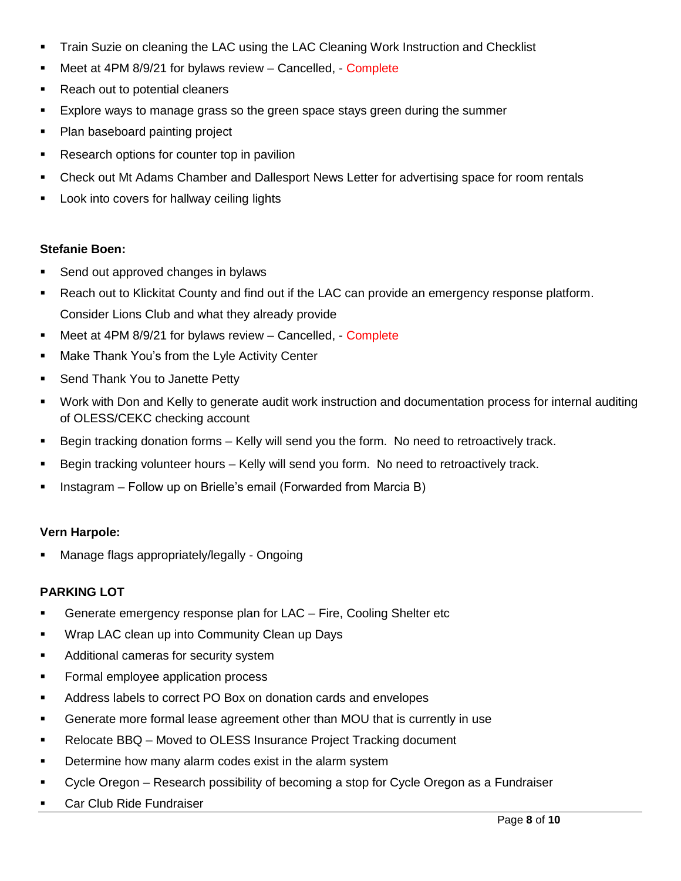- Train Suzie on cleaning the LAC using the LAC Cleaning Work Instruction and Checklist
- Meet at 4PM 8/9/21 for bylaws review Cancelled, Complete
- Reach out to potential cleaners
- **Explore ways to manage grass so the green space stays green during the summer**
- Plan baseboard painting project
- Research options for counter top in pavilion
- **Check out Mt Adams Chamber and Dallesport News Letter for advertising space for room rentals**
- Look into covers for hallway ceiling lights

# **Stefanie Boen:**

- Send out approved changes in bylaws
- **Reach out to Klickitat County and find out if the LAC can provide an emergency response platform.** Consider Lions Club and what they already provide
- Meet at 4PM 8/9/21 for bylaws review Cancelled, Complete
- **Make Thank You's from the Lyle Activity Center**
- **Send Thank You to Janette Petty**
- Work with Don and Kelly to generate audit work instruction and documentation process for internal auditing of OLESS/CEKC checking account
- Begin tracking donation forms Kelly will send you the form. No need to retroactively track.
- Begin tracking volunteer hours Kelly will send you form. No need to retroactively track.
- **Instagram Follow up on Brielle's email (Forwarded from Marcia B)**

# **Vern Harpole:**

Manage flags appropriately/legally - Ongoing

# **PARKING LOT**

- **Generate emergency response plan for LAC Fire, Cooling Shelter etc**
- Wrap LAC clean up into Community Clean up Days
- **Additional cameras for security system**
- **Formal employee application process**
- Address labels to correct PO Box on donation cards and envelopes
- Generate more formal lease agreement other than MOU that is currently in use
- **Relocate BBQ Moved to OLESS Insurance Project Tracking document**
- Determine how many alarm codes exist in the alarm system
- **Cycle Oregon Research possibility of becoming a stop for Cycle Oregon as a Fundraiser**
- Car Club Ride Fundraiser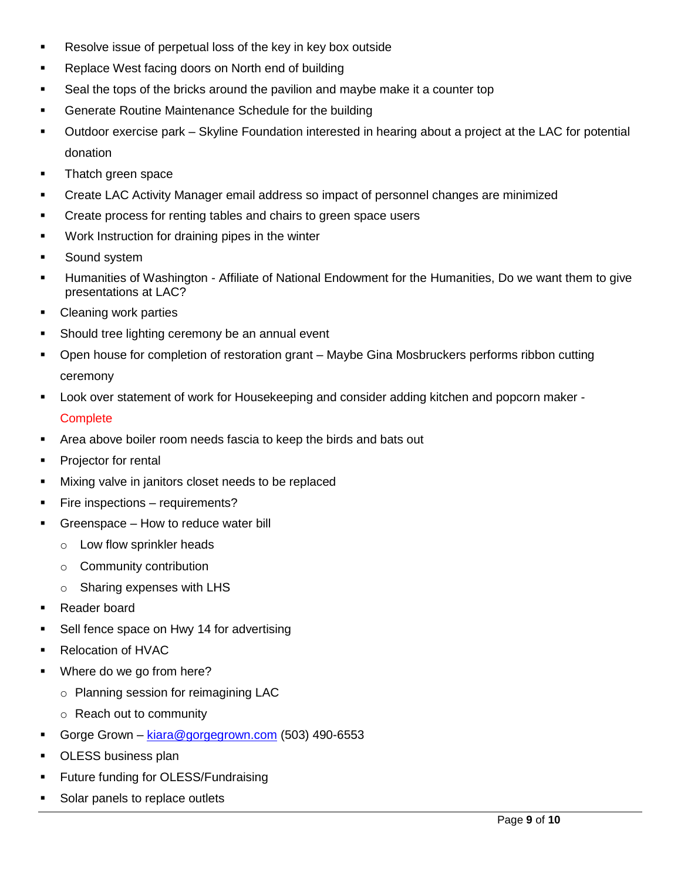- Resolve issue of perpetual loss of the key in key box outside
- Replace West facing doors on North end of building
- Seal the tops of the bricks around the pavilion and maybe make it a counter top
- **Generate Routine Maintenance Schedule for the building**
- Outdoor exercise park Skyline Foundation interested in hearing about a project at the LAC for potential donation
- **Thatch green space**
- Create LAC Activity Manager email address so impact of personnel changes are minimized
- **•** Create process for renting tables and chairs to green space users
- Work Instruction for draining pipes in the winter
- **Sound system**
- Humanities of Washington Affiliate of National Endowment for the Humanities, Do we want them to give presentations at LAC?
- Cleaning work parties
- **Should tree lighting ceremony be an annual event**
- Open house for completion of restoration grant Maybe Gina Mosbruckers performs ribbon cutting ceremony
- Look over statement of work for Housekeeping and consider adding kitchen and popcorn maker **Complete**
- Area above boiler room needs fascia to keep the birds and bats out
- **Projector for rental**
- **Mixing valve in janitors closet needs to be replaced**
- **Fire inspections requirements?**
- Greenspace How to reduce water bill
	- o Low flow sprinkler heads
	- o Community contribution
	- o Sharing expenses with LHS
- Reader board
- Sell fence space on Hwy 14 for advertising
- Relocation of HVAC
- **Where do we go from here?** 
	- o Planning session for reimagining LAC
	- o Reach out to community
- Gorge Grown [kiara@gorgegrown.com](mailto:kiara@gorgegrown.com) (503) 490-6553
- **DLESS business plan**
- **Future funding for OLESS/Fundraising**
- Solar panels to replace outlets